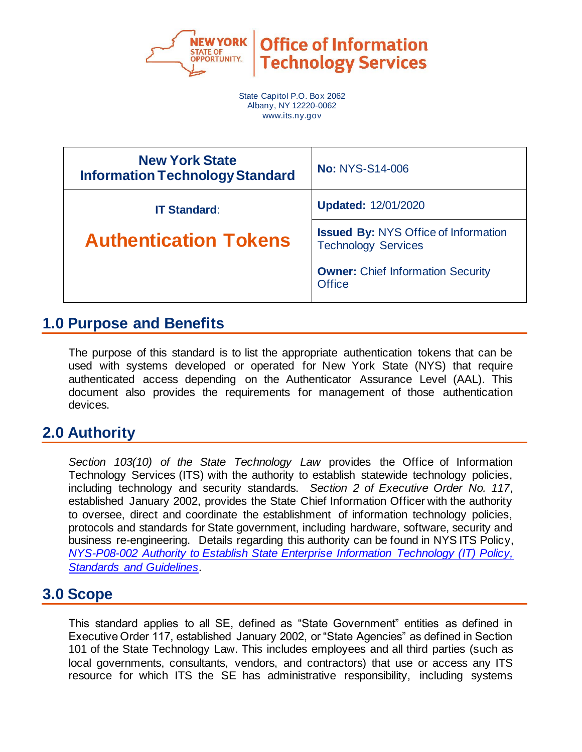

State Capitol P.O. Box 2062 Albany, NY 12220-0062 www.its.ny.gov

| <b>New York State</b><br><b>Information Technology Standard</b> | <b>No: NYS-S14-006</b>                                                    |
|-----------------------------------------------------------------|---------------------------------------------------------------------------|
| <b>IT Standard:</b>                                             | <b>Updated: 12/01/2020</b>                                                |
| <b>Authentication Tokens</b>                                    | <b>Issued By: NYS Office of Information</b><br><b>Technology Services</b> |
|                                                                 | <b>Owner: Chief Information Security</b><br><b>Office</b>                 |

## **1.0 Purpose and Benefits**

The purpose of this standard is to list the appropriate authentication tokens that can be used with systems developed or operated for New York State (NYS) that require authenticated access depending on the Authenticator Assurance Level (AAL). This document also provides the requirements for management of those authentication devices.

## **2.0 Authority**

*Section 103(10) of the State Technology Law* provides the Office of Information Technology Services (ITS) with the authority to establish statewide technology policies, including technology and security standards. *Section 2 of Executive Order No. 117*, established January 2002, provides the State Chief Information Officer with the authority to oversee, direct and coordinate the establishment of information technology policies, protocols and standards for State government, including hardware, software, security and business re-engineering. Details regarding this authority can be found in NYS ITS Policy, *[NYS-P08-002 Authority to Establish State Enterprise Information Technology \(IT\) Policy,](https://its.ny.gov/document/authority-establish-state-enterprise-information-technology-it-policy-standards-and-guidelines)  [Standards and Guidelines](https://its.ny.gov/document/authority-establish-state-enterprise-information-technology-it-policy-standards-and-guidelines)*.

## **3.0 Scope**

This standard applies to all SE, defined as "State Government" entities as defined in Executive Order 117, established January 2002, or "State Agencies" as defined in Section 101 of the State Technology Law. This includes employees and all third parties (such as local governments, consultants, vendors, and contractors) that use or access any ITS resource for which ITS the SE has administrative responsibility, including systems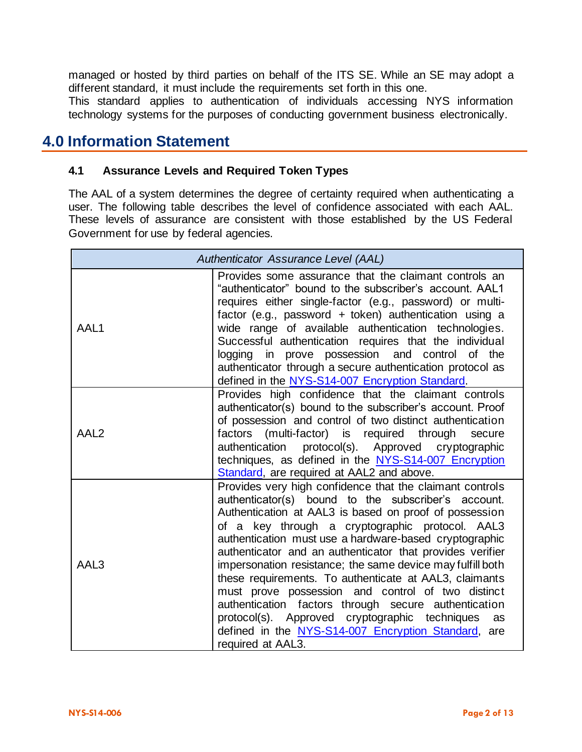managed or hosted by third parties on behalf of the ITS SE. While an SE may adopt a different standard, it must include the requirements set forth in this one.

This standard applies to authentication of individuals accessing NYS information technology systems for the purposes of conducting government business electronically.

## **4.0 Information Statement**

#### **4.1 Assurance Levels and Required Token Types**

The AAL of a system determines the degree of certainty required when authenticating a user. The following table describes the level of confidence associated with each AAL. These levels of assurance are consistent with those established by the US Federal Government for use by federal agencies.

| Authenticator Assurance Level (AAL) |                                                                                                                                                                                                                                                                                                                                                                                                                                                                                                                                                                                                                                                                                                                              |  |  |
|-------------------------------------|------------------------------------------------------------------------------------------------------------------------------------------------------------------------------------------------------------------------------------------------------------------------------------------------------------------------------------------------------------------------------------------------------------------------------------------------------------------------------------------------------------------------------------------------------------------------------------------------------------------------------------------------------------------------------------------------------------------------------|--|--|
| AAL1                                | Provides some assurance that the claimant controls an<br>"authenticator" bound to the subscriber's account. AAL1<br>requires either single-factor (e.g., password) or multi-<br>factor (e.g., password + token) authentication using a<br>wide range of available authentication technologies.<br>Successful authentication requires that the individual<br>logging in prove possession and control of the<br>authenticator through a secure authentication protocol as<br>defined in the NYS-S14-007 Encryption Standard.                                                                                                                                                                                                   |  |  |
| AAL <sub>2</sub>                    | Provides high confidence that the claimant controls<br>authenticator(s) bound to the subscriber's account. Proof<br>of possession and control of two distinct authentication<br>factors (multi-factor) is required<br>through<br>secure<br>authentication protocol(s). Approved cryptographic<br>techniques, as defined in the NYS-S14-007 Encryption<br>Standard, are required at AAL2 and above.                                                                                                                                                                                                                                                                                                                           |  |  |
| AAL3                                | Provides very high confidence that the claimant controls<br>authenticator(s) bound to the subscriber's account.<br>Authentication at AAL3 is based on proof of possession<br>of a key through a cryptographic protocol. AAL3<br>authentication must use a hardware-based cryptographic<br>authenticator and an authenticator that provides verifier<br>impersonation resistance; the same device may fulfill both<br>these requirements. To authenticate at AAL3, claimants<br>must prove possession and control of two distinct<br>authentication factors through secure authentication<br>protocol(s). Approved cryptographic techniques<br>as<br>defined in the NYS-S14-007 Encryption Standard, are<br>required at AAL3. |  |  |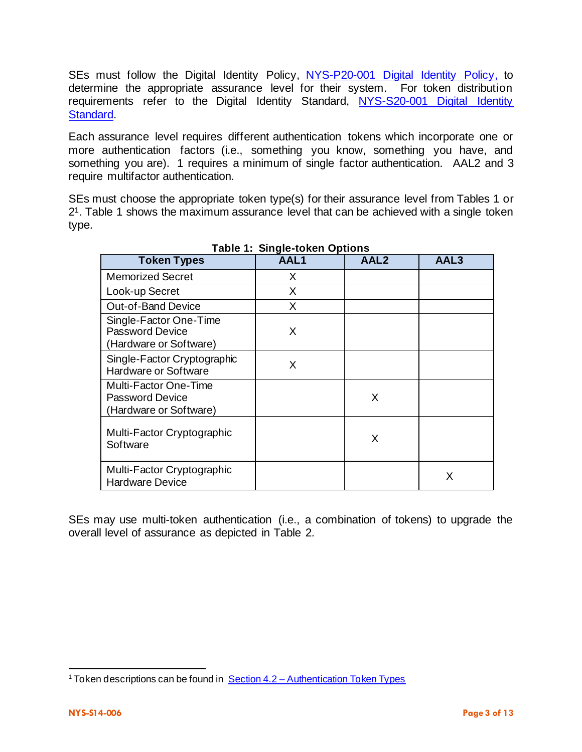SEs must follow the [Digital Identity Policy,](https://its.ny.gov/document/digital-identity-policy) NYS-P20-001 Digital Identity Policy, to determine the appropriate assurance level for their system. For token distribution requirements refer to the [Digital Identity](https://its.ny.gov/document/digital-identity-standard) Standard, NYS-S20-001 Digital Identity [Standard.](https://its.ny.gov/document/digital-identity-standard)

Each assurance level requires different authentication tokens which incorporate one or more authentication factors (i.e., something you know, something you have, and something you are). 1 requires a minimum of single factor authentication. AAL2 and 3 require multifactor authentication.

SEs must choose the appropriate token type(s) for their assurance level from Tables 1 or 21. Table 1 shows the maximum assurance level that can be achieved with a single token type.

| <b>Token Types</b>                                                         | AAL1 | AAL <sub>2</sub> | AAL3 |
|----------------------------------------------------------------------------|------|------------------|------|
| <b>Memorized Secret</b>                                                    | X    |                  |      |
| Look-up Secret                                                             | X    |                  |      |
| Out-of-Band Device                                                         | X    |                  |      |
| Single-Factor One-Time<br><b>Password Device</b><br>(Hardware or Software) | X    |                  |      |
| Single-Factor Cryptographic<br>Hardware or Software                        | X    |                  |      |
| Multi-Factor One-Time<br><b>Password Device</b><br>(Hardware or Software)  |      | X                |      |
| Multi-Factor Cryptographic<br>Software                                     |      | X                |      |
| Multi-Factor Cryptographic<br><b>Hardware Device</b>                       |      |                  | X    |

**Table 1: Single-token Options**

SEs may use multi-token authentication (i.e., a combination of tokens) to upgrade the overall level of assurance as depicted in Table 2.

<sup>&</sup>lt;sup>1</sup> Token descriptions can be found in  $Section 4.2 - Authentication Token Types$  $Section 4.2 - Authentication Token Types$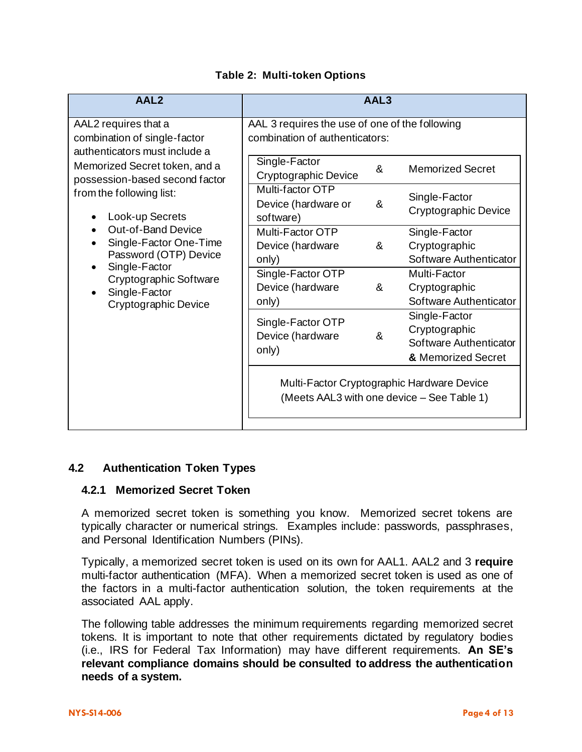| AAL <sub>2</sub>                                                                              |                                                                                  | AAL3 |                                                                                          |
|-----------------------------------------------------------------------------------------------|----------------------------------------------------------------------------------|------|------------------------------------------------------------------------------------------|
| AAL2 requires that a<br>combination of single-factor<br>authenticators must include a         | AAL 3 requires the use of one of the following<br>combination of authenticators: |      |                                                                                          |
| Memorized Secret token, and a<br>possession-based second factor                               | Single-Factor<br>Cryptographic Device                                            | &    | <b>Memorized Secret</b>                                                                  |
| from the following list:<br>Look-up Secrets                                                   | Multi-factor OTP<br>Device (hardware or<br>software)                             | &    | Single-Factor<br>Cryptographic Device                                                    |
| <b>Out-of-Band Device</b><br>Single-Factor One-Time<br>Password (OTP) Device<br>Single-Factor | Multi-Factor OTP<br>Device (hardware<br>only)                                    | &    | Single-Factor<br>Cryptographic<br>Software Authenticator                                 |
| Cryptographic Software<br>Single-Factor<br>Cryptographic Device                               | Single-Factor OTP<br>Device (hardware<br>only)                                   | &    | Multi-Factor<br>Cryptographic<br>Software Authenticator                                  |
|                                                                                               | Single-Factor OTP<br>Device (hardware<br>only)                                   | &    | Single-Factor<br>Cryptographic<br>Software Authenticator<br>& Memorized Secret           |
|                                                                                               |                                                                                  |      | Multi-Factor Cryptographic Hardware Device<br>(Meets AAL3 with one device - See Table 1) |

**Table 2: Multi-token Options**

## <span id="page-3-0"></span>**4.2 Authentication Token Types**

### **4.2.1 Memorized Secret Token**

A memorized secret token is something you know. Memorized secret tokens are typically character or numerical strings. Examples include: passwords, passphrases, and Personal Identification Numbers (PINs).

Typically, a memorized secret token is used on its own for AAL1. AAL2 and 3 **require** multi-factor authentication (MFA). When a memorized secret token is used as one of the factors in a multi-factor authentication solution, the token requirements at the associated AAL apply.

The following table addresses the minimum requirements regarding memorized secret tokens. It is important to note that other requirements dictated by regulatory bodies (i.e., IRS for Federal Tax Information) may have different requirements. **An SE's relevant compliance domains should be consulted to address the authentication needs of a system.**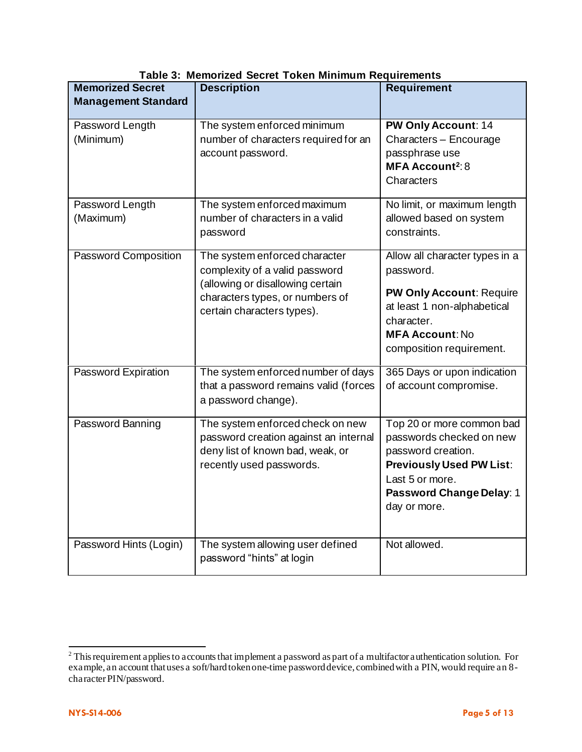| <b>Memorized Secret</b><br><b>Management Standard</b> | <b>Description</b>                                                                                                                                                   | <b>Requirement</b>                                                                                                                                                                |
|-------------------------------------------------------|----------------------------------------------------------------------------------------------------------------------------------------------------------------------|-----------------------------------------------------------------------------------------------------------------------------------------------------------------------------------|
| Password Length<br>(Minimum)                          | The system enforced minimum<br>number of characters required for an<br>account password.                                                                             | <b>PW Only Account: 14</b><br>Characters - Encourage<br>passphrase use<br><b>MFA Account2: 8</b><br>Characters                                                                    |
| Password Length<br>(Maximum)                          | The system enforced maximum<br>number of characters in a valid<br>password                                                                                           | No limit, or maximum length<br>allowed based on system<br>constraints.                                                                                                            |
| <b>Password Composition</b>                           | The system enforced character<br>complexity of a valid password<br>(allowing or disallowing certain<br>characters types, or numbers of<br>certain characters types). | Allow all character types in a<br>password.<br><b>PW Only Account: Require</b><br>at least 1 non-alphabetical<br>character.<br><b>MFA Account: No</b><br>composition requirement. |
| Password Expiration                                   | The system enforced number of days<br>that a password remains valid (forces<br>a password change).                                                                   | 365 Days or upon indication<br>of account compromise.                                                                                                                             |
| Password Banning                                      | The system enforced check on new<br>password creation against an internal<br>deny list of known bad, weak, or<br>recently used passwords.                            | Top 20 or more common bad<br>passwords checked on new<br>password creation.<br><b>Previously Used PW List:</b><br>Last 5 or more.<br>Password Change Delay: 1<br>day or more.     |
| Password Hints (Login)                                | The system allowing user defined<br>password "hints" at login                                                                                                        | Not allowed.                                                                                                                                                                      |

|  |  |  |  |  | Table 3: Memorized Secret Token Minimum Requirements |
|--|--|--|--|--|------------------------------------------------------|
|--|--|--|--|--|------------------------------------------------------|

 $2^2$  This requirement applies to accounts that implement a password as part of a multifactor authentication solution. For example, an account that uses a soft/hard token one-time password device, combined with a PIN, would require an 8 character PIN/password.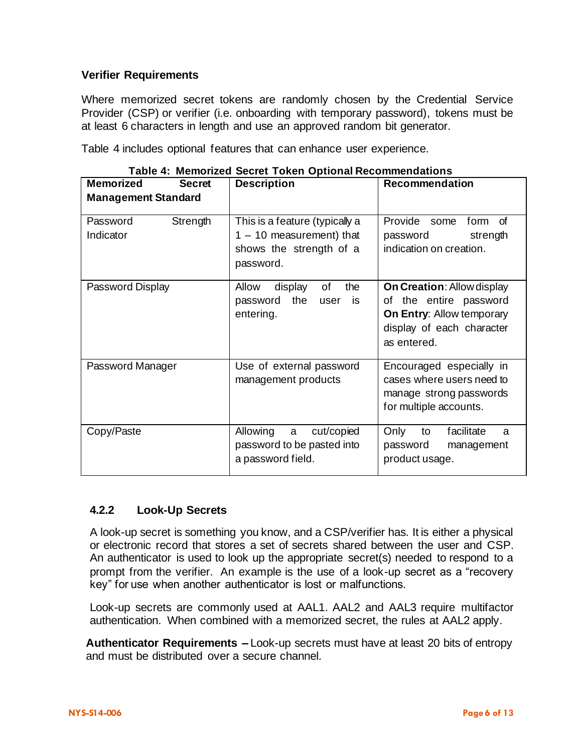### **Verifier Requirements**

Where memorized secret tokens are randomly chosen by the Credential Service Provider (CSP) or verifier (i.e. onboarding with temporary password), tokens must be at least 6 characters in length and use an approved random bit generator.

Table 4 includes optional features that can enhance user experience.

| <b>Memorized</b><br><b>Secret</b> | <b>MUNICIPAL CONTROL FUNCTI OPHOTAL INCODERNMENT CONTROL</b><br><b>Description</b>                   | <b>Recommendation</b>                                                                                                                       |  |
|-----------------------------------|------------------------------------------------------------------------------------------------------|---------------------------------------------------------------------------------------------------------------------------------------------|--|
| <b>Management Standard</b>        |                                                                                                      |                                                                                                                                             |  |
| Strength<br>Password<br>Indicator | This is a feature (typically a<br>$1 - 10$ measurement) that<br>shows the strength of a<br>password. | Provide some<br>form of<br>password<br>strength<br>indication on creation.                                                                  |  |
| Password Display                  | display<br>Allow<br>of<br>the<br>password the<br>user<br>is<br>entering.                             | <b>On Creation: Allow display</b><br>of the entire password<br><b>On Entry: Allow temporary</b><br>display of each character<br>as entered. |  |
| Password Manager                  | Use of external password<br>management products                                                      | Encouraged especially in<br>cases where users need to<br>manage strong passwords<br>for multiple accounts.                                  |  |
| Copy/Paste                        | Allowing<br>a cut/copied<br>password to be pasted into<br>a password field.                          | Only<br>facilitate<br>to<br>a<br>password<br>management<br>product usage.                                                                   |  |

**Table 4: Memorized Secret Token Optional Recommendations**

### **4.2.2 Look-Up Secrets**

A look-up secret is something you know, and a CSP/verifier has. It is either a physical or electronic record that stores a set of secrets shared between the user and CSP. An authenticator is used to look up the appropriate secret(s) needed to respond to a prompt from the verifier. An example is the use of a look-up secret as a "recovery key" for use when another authenticator is lost or malfunctions.

Look-up secrets are commonly used at AAL1. AAL2 and AAL3 require multifactor authentication. When combined with a memorized secret, the rules at AAL2 apply.

**Authenticator Requirements –** Look-up secrets must have at least 20 bits of entropy and must be distributed over a secure channel.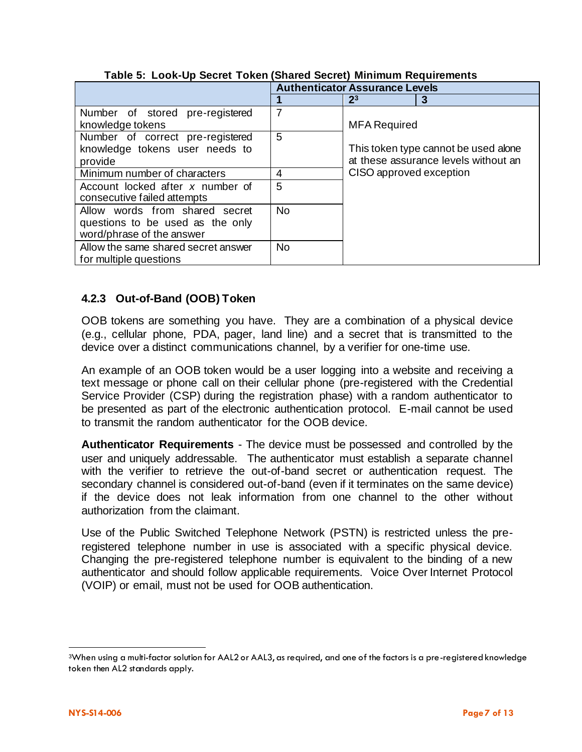|                                     | <b>Authenticator Assurance Levels</b> |                         |                                      |
|-------------------------------------|---------------------------------------|-------------------------|--------------------------------------|
|                                     |                                       | 2 <sup>3</sup>          | 3                                    |
| Number of stored pre-registered     |                                       |                         |                                      |
| knowledge tokens                    |                                       | <b>MFA Required</b>     |                                      |
| Number of correct pre-registered    | 5                                     |                         |                                      |
| knowledge tokens user needs to      |                                       |                         | This token type cannot be used alone |
| provide                             |                                       |                         | at these assurance levels without an |
| Minimum number of characters        | 4                                     | CISO approved exception |                                      |
| Account locked after x number of    | 5                                     |                         |                                      |
| consecutive failed attempts         |                                       |                         |                                      |
| Allow words from shared secret      | <b>No</b>                             |                         |                                      |
| questions to be used as the only    |                                       |                         |                                      |
| word/phrase of the answer           |                                       |                         |                                      |
| Allow the same shared secret answer | <b>No</b>                             |                         |                                      |
| for multiple questions              |                                       |                         |                                      |

**Table 5: Look-Up Secret Token (Shared Secret) Minimum Requirements**

## **4.2.3 Out-of-Band (OOB) Token**

OOB tokens are something you have. They are a combination of a physical device (e.g., cellular phone, PDA, pager, land line) and a secret that is transmitted to the device over a distinct communications channel, by a verifier for one-time use.

An example of an OOB token would be a user logging into a website and receiving a text message or phone call on their cellular phone (pre-registered with the Credential Service Provider (CSP) during the registration phase) with a random authenticator to be presented as part of the electronic authentication protocol. E-mail cannot be used to transmit the random authenticator for the OOB device.

**Authenticator Requirements** - The device must be possessed and controlled by the user and uniquely addressable. The authenticator must establish a separate channel with the verifier to retrieve the out-of-band secret or authentication request. The secondary channel is considered out-of-band (even if it terminates on the same device) if the device does not leak information from one channel to the other without authorization from the claimant.

Use of the Public Switched Telephone Network (PSTN) is restricted unless the preregistered telephone number in use is associated with a specific physical device. Changing the pre-registered telephone number is equivalent to the binding of a new authenticator and should follow applicable requirements. Voice Over Internet Protocol (VOIP) or email, must not be used for OOB authentication.

<sup>3</sup>When using a multi-factor solution for AAL2 or AAL3, as required, and one of the factors is a pre-registered knowledge token then AL2 standards apply.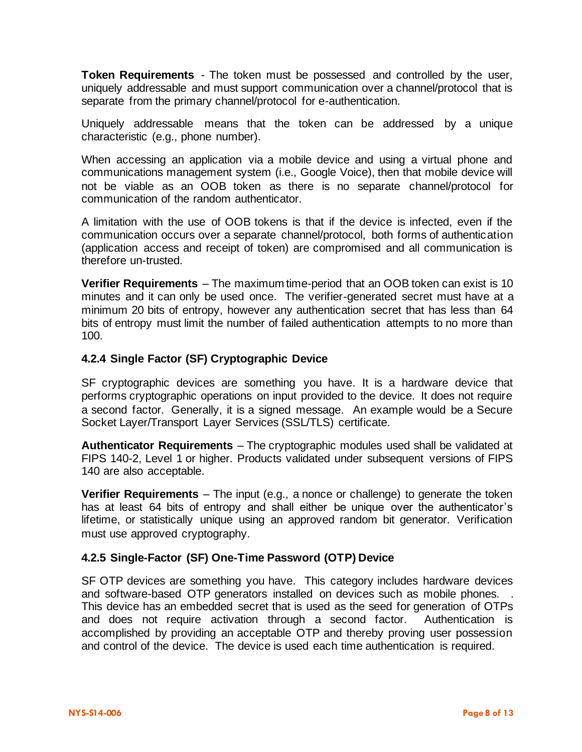**Token Requirements** - The token must be possessed and controlled by the user, uniquely addressable and must support communication over a channel/protocol that is separate from the primary channel/protocol for e-authentication.

Uniquely addressable means that the token can be addressed by a unique characteristic (e.g., phone number).

When accessing an application via a mobile device and using a virtual phone and communications management system (i.e., Google Voice), then that mobile device will not be viable as an OOB token as there is no separate channel/protocol for communication of the random authenticator.

A limitation with the use of OOB tokens is that if the device is infected, even if the communication occurs over a separate channel/protocol, both forms of authentication (application access and receipt of token) are compromised and all communication is therefore un-trusted.

**Verifier Requirements** – The maximum time-period that an OOB token can exist is 10 minutes and it can only be used once. The verifier-generated secret must have at a minimum 20 bits of entropy, however any authentication secret that has less than 64 bits of entropy must limit the number of failed authentication attempts to no more than 100.

#### **4.2.4 Single Factor (SF) Cryptographic Device**

SF cryptographic devices are something you have. It is a hardware device that performs cryptographic operations on input provided to the device. It does not require a second factor. Generally, it is a signed message. An example would be a Secure Socket Layer/Transport Layer Services (SSL/TLS) certificate.

**Authenticator Requirements** – The cryptographic modules used shall be validated at FIPS 140-2, Level 1 or higher. Products validated under subsequent versions of FIPS 140 are also acceptable.

**Verifier Requirements** – The input (e.g., a nonce or challenge) to generate the token has at least 64 bits of entropy and shall either be unique over the authenticator's lifetime, or statistically unique using an approved random bit generator. Verification must use approved cryptography.

#### **4.2.5 Single-Factor (SF) One-Time Password (OTP) Device**

SF OTP devices are something you have. This category includes hardware devices and software-based OTP generators installed on devices such as mobile phones. This device has an embedded secret that is used as the seed for generation of OTPs and does not require activation through a second factor. Authentication is accomplished by providing an acceptable OTP and thereby proving user possession and control of the device. The device is used each time authentication is required.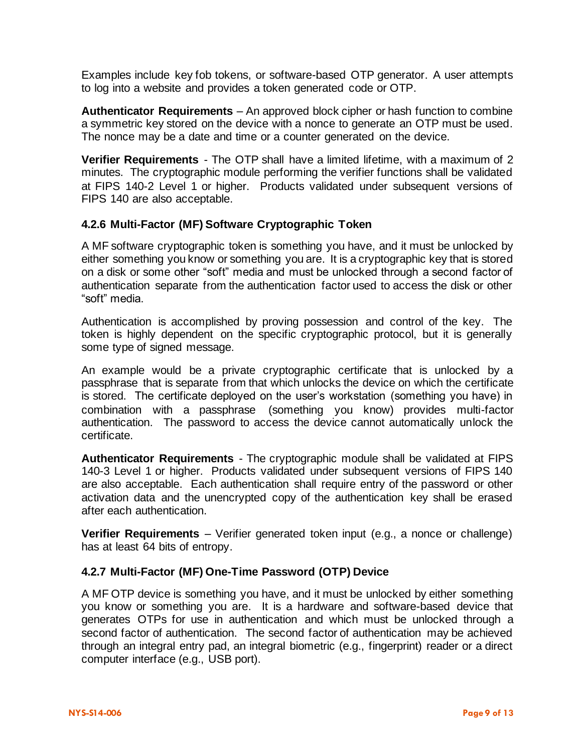Examples include key fob tokens, or software-based OTP generator. A user attempts to log into a website and provides a token generated code or OTP.

**Authenticator Requirements** – An approved block cipher or hash function to combine a symmetric key stored on the device with a nonce to generate an OTP must be used. The nonce may be a date and time or a counter generated on the device.

**Verifier Requirements** - The OTP shall have a limited lifetime, with a maximum of 2 minutes. The cryptographic module performing the verifier functions shall be validated at FIPS 140-2 Level 1 or higher. Products validated under subsequent versions of FIPS 140 are also acceptable.

#### **4.2.6 Multi-Factor (MF) Software Cryptographic Token**

A MF software cryptographic token is something you have, and it must be unlocked by either something you know or something you are. It is a cryptographic key that is stored on a disk or some other "soft" media and must be unlocked through a second factor of authentication separate from the authentication factor used to access the disk or other "soft" media.

Authentication is accomplished by proving possession and control of the key. The token is highly dependent on the specific cryptographic protocol, but it is generally some type of signed message.

An example would be a private cryptographic certificate that is unlocked by a passphrase that is separate from that which unlocks the device on which the certificate is stored. The certificate deployed on the user's workstation (something you have) in combination with a passphrase (something you know) provides multi-factor authentication. The password to access the device cannot automatically unlock the certificate.

**Authenticator Requirements** - The cryptographic module shall be validated at FIPS 140-3 Level 1 or higher. Products validated under subsequent versions of FIPS 140 are also acceptable. Each authentication shall require entry of the password or other activation data and the unencrypted copy of the authentication key shall be erased after each authentication.

**Verifier Requirements** – Verifier generated token input (e.g., a nonce or challenge) has at least 64 bits of entropy.

### **4.2.7 Multi-Factor (MF) One-Time Password (OTP) Device**

A MF OTP device is something you have, and it must be unlocked by either something you know or something you are. It is a hardware and software-based device that generates OTPs for use in authentication and which must be unlocked through a second factor of authentication. The second factor of authentication may be achieved through an integral entry pad, an integral biometric (e.g., fingerprint) reader or a direct computer interface (e.g., USB port).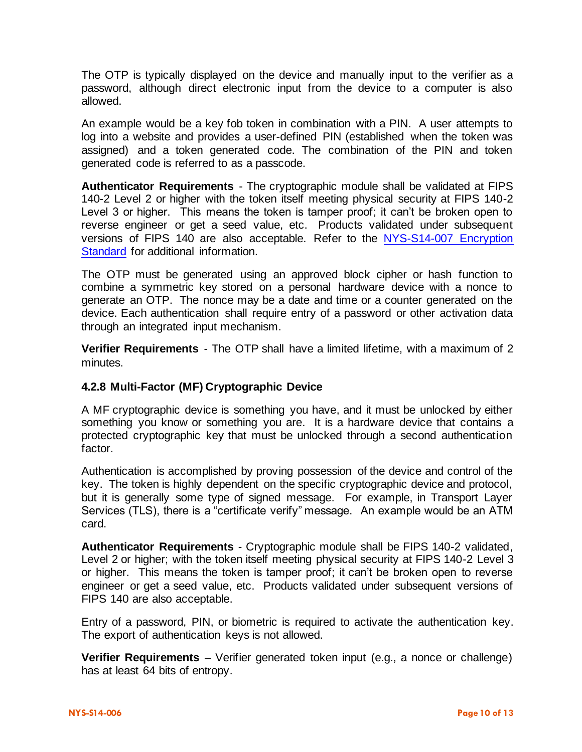The OTP is typically displayed on the device and manually input to the verifier as a password, although direct electronic input from the device to a computer is also allowed.

An example would be a key fob token in combination with a PIN. A user attempts to log into a website and provides a user-defined PIN (established when the token was assigned) and a token generated code. The combination of the PIN and token generated code is referred to as a passcode.

**Authenticator Requirements** - The cryptographic module shall be validated at FIPS 140-2 Level 2 or higher with the token itself meeting physical security at FIPS 140-2 Level 3 or higher. This means the token is tamper proof; it can't be broken open to reverse engineer or get a seed value, etc. Products validated under subsequent versions of FIPS 140 are also acceptable. Refer to the [NYS-S14-007 Encryption](https://its.ny.gov/document/encryption-standard)  [Standard](https://its.ny.gov/document/encryption-standard) for additional information.

The OTP must be generated using an approved block cipher or hash function to combine a symmetric key stored on a personal hardware device with a nonce to generate an OTP. The nonce may be a date and time or a counter generated on the device. Each authentication shall require entry of a password or other activation data through an integrated input mechanism.

**Verifier Requirements** - The OTP shall have a limited lifetime, with a maximum of 2 minutes.

### **4.2.8 Multi-Factor (MF) Cryptographic Device**

A MF cryptographic device is something you have, and it must be unlocked by either something you know or something you are. It is a hardware device that contains a protected cryptographic key that must be unlocked through a second authentication factor.

Authentication is accomplished by proving possession of the device and control of the key. The token is highly dependent on the specific cryptographic device and protocol, but it is generally some type of signed message. For example, in Transport Layer Services (TLS), there is a "certificate verify" message. An example would be an ATM card.

**Authenticator Requirements** - Cryptographic module shall be FIPS 140-2 validated, Level 2 or higher; with the token itself meeting physical security at FIPS 140-2 Level 3 or higher. This means the token is tamper proof; it can't be broken open to reverse engineer or get a seed value, etc. Products validated under subsequent versions of FIPS 140 are also acceptable.

Entry of a password, PIN, or biometric is required to activate the authentication key. The export of authentication keys is not allowed.

**Verifier Requirements** – Verifier generated token input (e.g., a nonce or challenge) has at least 64 bits of entropy.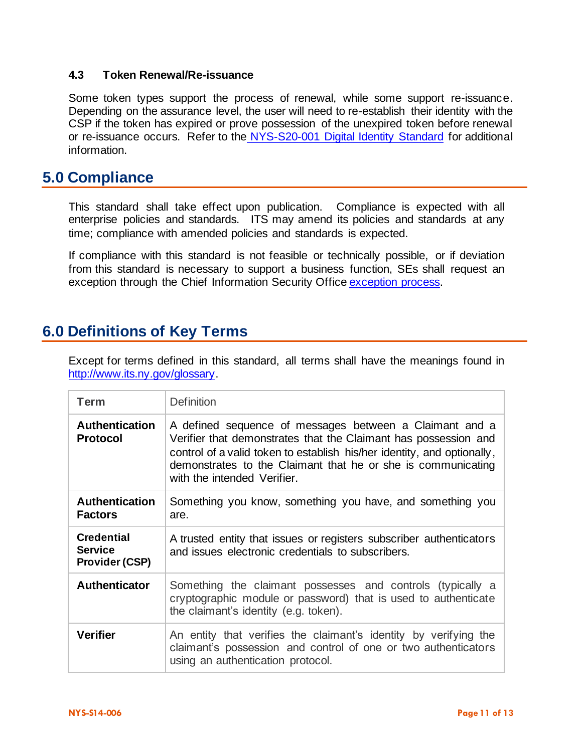#### **4.3 Token Renewal/Re-issuance**

Some token types support the process of renewal, while some support re-issuance. Depending on the assurance level, the user will need to re-establish their identity with the CSP if the token has expired or prove possession of the unexpired token before renewal or re-issuance occurs. Refer to the NYS-S20-001 [Digital Identity Standard](https://its.ny.gov/document/digital-identity-standard) for additional information.

## **5.0 Compliance**

This standard shall take effect upon publication. Compliance is expected with all enterprise policies and standards. ITS may amend its policies and standards at any time; compliance with amended policies and standards is expected.

If compliance with this standard is not feasible or technically possible, or if deviation from this standard is necessary to support a business function, SEs shall request an exception through the Chief Information Security Offic[e exception process.](http://www.its.ny.gov/document/information-security-exception-policy)

# **6.0 Definitions of Key Terms**

Except for terms defined in this standard, all terms shall have the meanings found in [http://www.its.ny.gov/glossary.](http://www.its.ny.gov/glossary)

| <b>Term</b>                                                  | <b>Definition</b>                                                                                                                                                                                                                                                                                    |
|--------------------------------------------------------------|------------------------------------------------------------------------------------------------------------------------------------------------------------------------------------------------------------------------------------------------------------------------------------------------------|
| <b>Authentication</b><br><b>Protocol</b>                     | A defined sequence of messages between a Claimant and a<br>Verifier that demonstrates that the Claimant has possession and<br>control of a valid token to establish his/her identity, and optionally,<br>demonstrates to the Claimant that he or she is communicating<br>with the intended Verifier. |
| <b>Authentication</b><br><b>Factors</b>                      | Something you know, something you have, and something you<br>are.                                                                                                                                                                                                                                    |
| <b>Credential</b><br><b>Service</b><br><b>Provider (CSP)</b> | A trusted entity that issues or registers subscriber authenticators<br>and issues electronic credentials to subscribers.                                                                                                                                                                             |
| <b>Authenticator</b>                                         | Something the claimant possesses and controls (typically a<br>cryptographic module or password) that is used to authenticate<br>the claimant's identity (e.g. token).                                                                                                                                |
| <b>Verifier</b>                                              | An entity that verifies the claimant's identity by verifying the<br>claimant's possession and control of one or two authenticators<br>using an authentication protocol.                                                                                                                              |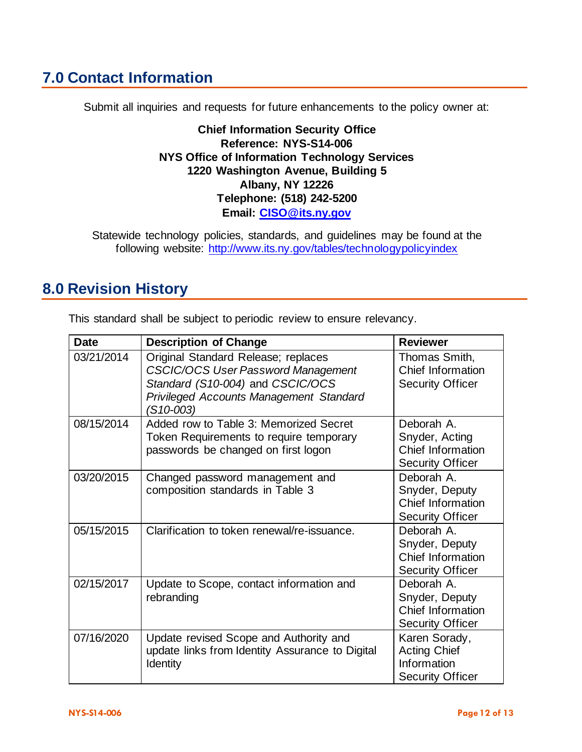# **7.0 Contact Information**

Submit all inquiries and requests for future enhancements to the policy owner at:

**Chief Information Security Office Reference: NYS-S14-006 NYS Office of Information Technology Services 1220 Washington Avenue, Building 5 Albany, NY 12226 Telephone: (518) 242-5200 Email: [CISO@its.ny.gov](mailto:CISO@its.ny.gov)**

Statewide technology policies, standards, and guidelines may be found at the following website: <http://www.its.ny.gov/tables/technologypolicyindex>

# **8.0 Revision History**

This standard shall be subject to periodic review to ensure relevancy.

| <b>Date</b> | <b>Description of Change</b>                                                                                                                                                        | <b>Reviewer</b>                                                                |
|-------------|-------------------------------------------------------------------------------------------------------------------------------------------------------------------------------------|--------------------------------------------------------------------------------|
| 03/21/2014  | Original Standard Release; replaces<br><b>CSCIC/OCS User Password Management</b><br>Standard (S10-004) and CSCIC/OCS<br><b>Privileged Accounts Management Standard</b><br>(S10-003) | Thomas Smith,<br>Chief Information<br><b>Security Officer</b>                  |
| 08/15/2014  | Added row to Table 3: Memorized Secret<br>Token Requirements to require temporary<br>passwords be changed on first logon                                                            | Deborah A.<br>Snyder, Acting<br>Chief Information<br><b>Security Officer</b>   |
| 03/20/2015  | Changed password management and<br>composition standards in Table 3                                                                                                                 | Deborah A.<br>Snyder, Deputy<br>Chief Information<br><b>Security Officer</b>   |
| 05/15/2015  | Clarification to token renewal/re-issuance.                                                                                                                                         | Deborah A.<br>Snyder, Deputy<br>Chief Information<br><b>Security Officer</b>   |
| 02/15/2017  | Update to Scope, contact information and<br>rebranding                                                                                                                              | Deborah A.<br>Snyder, Deputy<br>Chief Information<br><b>Security Officer</b>   |
| 07/16/2020  | Update revised Scope and Authority and<br>update links from Identity Assurance to Digital<br>Identity                                                                               | Karen Sorady,<br><b>Acting Chief</b><br>Information<br><b>Security Officer</b> |